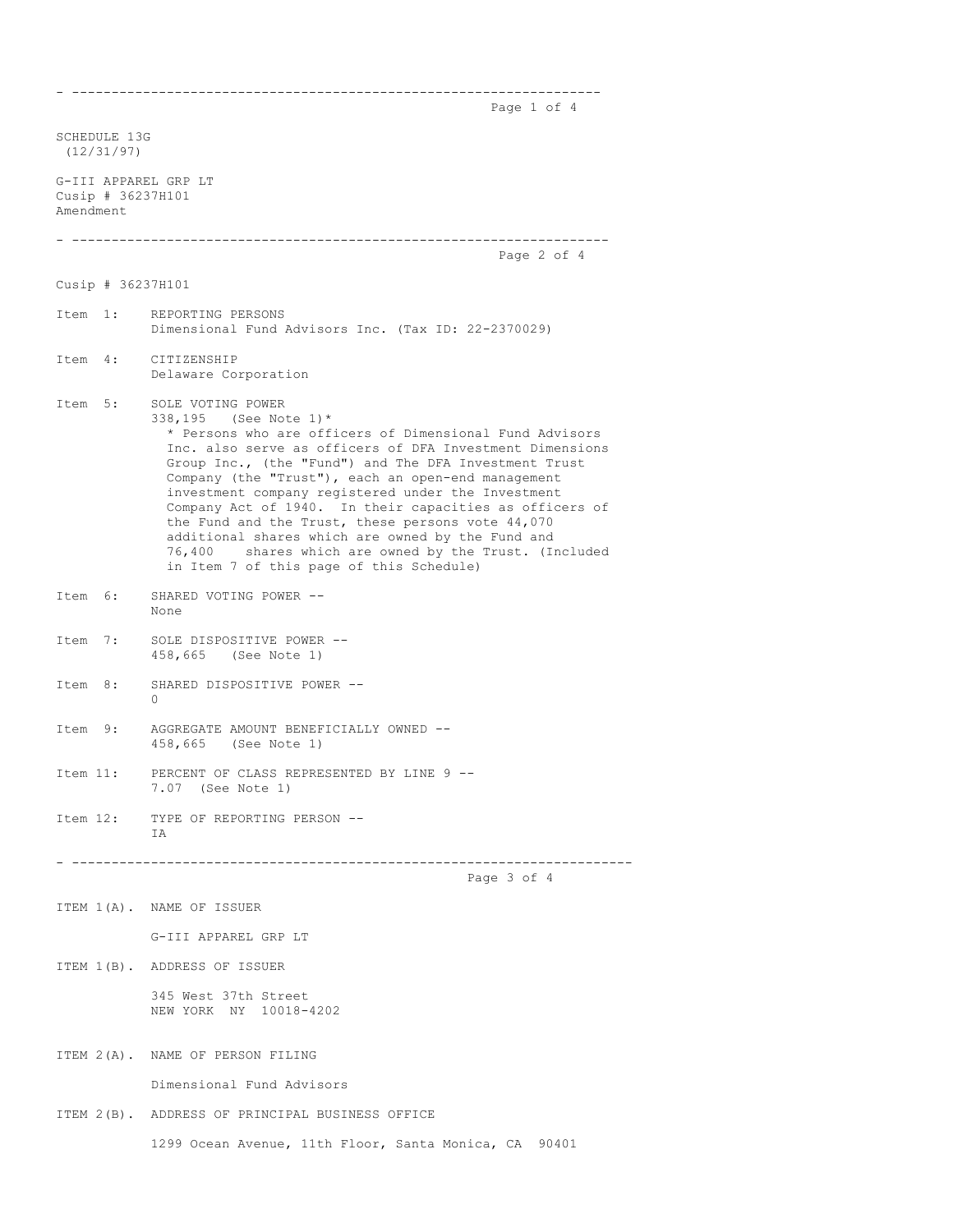Page 1 of 4

SCHEDULE 13G (12/31/97) G-III APPAREL GRP LT Cusip # 36237H101 Amendment - -------------------------------------------------------------------- Page 2 of 4 Cusip # 36237H101 Item 1: REPORTING PERSONS Dimensional Fund Advisors Inc. (Tax ID: 22-2370029) Item 4: CITIZENSHIP Delaware Corporation Item 5: SOLE VOTING POWER 338,195 (See Note 1)\* \* Persons who are officers of Dimensional Fund Advisors Inc. also serve as officers of DFA Investment Dimensions Group Inc., (the "Fund") and The DFA Investment Trust Company (the "Trust"), each an open-end management investment company registered under the Investment Company Act of 1940. In their capacities as officers of the Fund and the Trust, these persons vote 44,070 additional shares which are owned by the Fund and 76,400 shares which are owned by the Trust. (I) shares which are owned by the Trust. (Included in Item 7 of this page of this Schedule) Item 6: SHARED VOTING POWER -- None Item 7: SOLE DISPOSITIVE POWER -- 458,665 (See Note 1) Item 8: SHARED DISPOSITIVE POWER --  $\cap$ Item 9: AGGREGATE AMOUNT BENEFICIALLY OWNED -- 458,665 (See Note 1) Item 11: PERCENT OF CLASS REPRESENTED BY LINE 9 -- 7.07 (See Note 1) Item 12: TYPE OF REPORTING PERSON -- IA - ----------------------------------------------------------------------- Page 3 of 4 ITEM 1(A). NAME OF ISSUER G-III APPAREL GRP LT ITEM 1(B). ADDRESS OF ISSUER 345 West 37th Street NEW YORK NY 10018-4202 ITEM 2(A). NAME OF PERSON FILING Dimensional Fund Advisors ITEM 2(B). ADDRESS OF PRINCIPAL BUSINESS OFFICE 1299 Ocean Avenue, 11th Floor, Santa Monica, CA 90401

- -------------------------------------------------------------------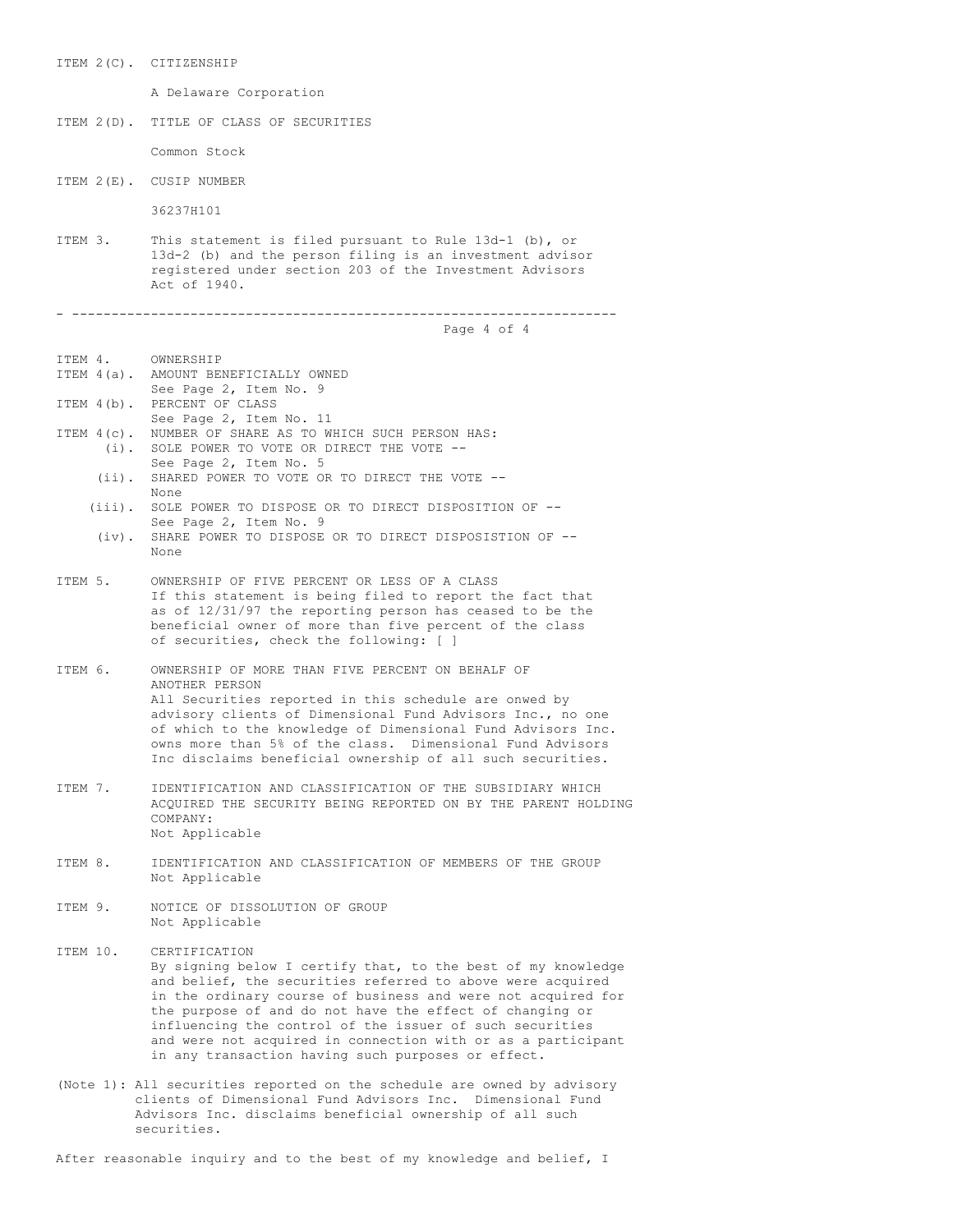ITEM 2(C). CITIZENSHIP A Delaware Corporation ITEM 2(D). TITLE OF CLASS OF SECURITIES Common Stock ITEM 2(E). CUSIP NUMBER 36237H101 ITEM 3. This statement is filed pursuant to Rule 13d-1 (b), or 13d-2 (b) and the person filing is an investment advisor registered under section 203 of the Investment Advisors Act of 1940. - --------------------------------------------------------------------- Page 4 of 4 ITEM 4. OWNERSHIP ITEM 4(a). AMOUNT BENEFICIALLY OWNED See Page 2, Item No. 9 ITEM 4(b). PERCENT OF CLASS See Page 2, Item No. 11 ITEM 4(c). NUMBER OF SHARE AS TO WHICH SUCH PERSON HAS: (i). SOLE POWER TO VOTE OR DIRECT THE VOTE -- See Page 2, Item No. 5 (ii). SHARED POWER TO VOTE OR TO DIRECT THE VOTE -- None (iii). SOLE POWER TO DISPOSE OR TO DIRECT DISPOSITION OF -- See Page 2, Item No. 9 (iv). SHARE POWER TO DISPOSE OR TO DIRECT DISPOSISTION OF -- None ITEM 5. OWNERSHIP OF FIVE PERCENT OR LESS OF A CLASS If this statement is being filed to report the fact that as of 12/31/97 the reporting person has ceased to be the beneficial owner of more than five percent of the class of securities, check the following: [ ] ITEM 6. OWNERSHIP OF MORE THAN FIVE PERCENT ON BEHALF OF ANOTHER PERSON All Securities reported in this schedule are onwed by advisory clients of Dimensional Fund Advisors Inc., no one of which to the knowledge of Dimensional Fund Advisors Inc. owns more than 5% of the class. Dimensional Fund Advisors Inc disclaims beneficial ownership of all such securities. ITEM 7. IDENTIFICATION AND CLASSIFICATION OF THE SUBSIDIARY WHICH ACQUIRED THE SECURITY BEING REPORTED ON BY THE PARENT HOLDING COMPANY: Not Applicable ITEM 8. IDENTIFICATION AND CLASSIFICATION OF MEMBERS OF THE GROUP Not Applicable ITEM 9. NOTICE OF DISSOLUTION OF GROUP Not Applicable ITEM 10. CERTIFICATION By signing below I certify that, to the best of my knowledge and belief, the securities referred to above were acquired in the ordinary course of business and were not acquired for the purpose of and do not have the effect of changing or influencing the control of the issuer of such securities and were not acquired in connection with or as a participant

(Note 1): All securities reported on the schedule are owned by advisory clients of Dimensional Fund Advisors Inc. Dimensional Fund Advisors Inc. disclaims beneficial ownership of all such securities.

in any transaction having such purposes or effect.

After reasonable inquiry and to the best of my knowledge and belief, I